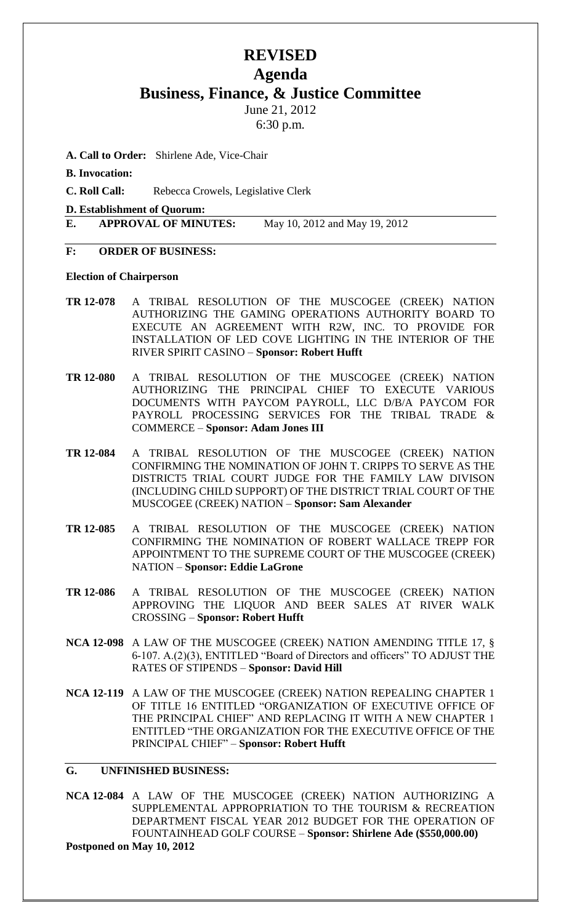# **REVISED Agenda Business, Finance, & Justice Committee**

June 21, 2012

6:30 p.m.

- **A. Call to Order:** Shirlene Ade, Vice-Chair
- **B. Invocation:**

**C. Roll Call:** Rebecca Crowels, Legislative Clerk

**D. Establishment of Quorum:**

**E. APPROVAL OF MINUTES:** May 10, 2012 and May 19, 2012

### **F: ORDER OF BUSINESS:**

#### **Election of Chairperson**

- **TR 12-078** A TRIBAL RESOLUTION OF THE MUSCOGEE (CREEK) NATION AUTHORIZING THE GAMING OPERATIONS AUTHORITY BOARD TO EXECUTE AN AGREEMENT WITH R2W, INC. TO PROVIDE FOR INSTALLATION OF LED COVE LIGHTING IN THE INTERIOR OF THE RIVER SPIRIT CASINO – **Sponsor: Robert Hufft**
- **TR 12-080** A TRIBAL RESOLUTION OF THE MUSCOGEE (CREEK) NATION AUTHORIZING THE PRINCIPAL CHIEF TO EXECUTE VARIOUS DOCUMENTS WITH PAYCOM PAYROLL, LLC D/B/A PAYCOM FOR PAYROLL PROCESSING SERVICES FOR THE TRIBAL TRADE & COMMERCE – **Sponsor: Adam Jones III**
- **TR 12-084** A TRIBAL RESOLUTION OF THE MUSCOGEE (CREEK) NATION CONFIRMING THE NOMINATION OF JOHN T. CRIPPS TO SERVE AS THE DISTRICT5 TRIAL COURT JUDGE FOR THE FAMILY LAW DIVISON (INCLUDING CHILD SUPPORT) OF THE DISTRICT TRIAL COURT OF THE MUSCOGEE (CREEK) NATION – **Sponsor: Sam Alexander**
- **TR 12-085** A TRIBAL RESOLUTION OF THE MUSCOGEE (CREEK) NATION CONFIRMING THE NOMINATION OF ROBERT WALLACE TREPP FOR APPOINTMENT TO THE SUPREME COURT OF THE MUSCOGEE (CREEK) NATION – **Sponsor: Eddie LaGrone**
- **TR 12-086** A TRIBAL RESOLUTION OF THE MUSCOGEE (CREEK) NATION APPROVING THE LIQUOR AND BEER SALES AT RIVER WALK CROSSING – **Sponsor: Robert Hufft**
- **NCA 12-098** A LAW OF THE MUSCOGEE (CREEK) NATION AMENDING TITLE 17, § 6-107. A.(2)(3), ENTITLED "Board of Directors and officers" TO ADJUST THE RATES OF STIPENDS – **Sponsor: David Hill**
- **NCA 12-119** A LAW OF THE MUSCOGEE (CREEK) NATION REPEALING CHAPTER 1 OF TITLE 16 ENTITLED "ORGANIZATION OF EXECUTIVE OFFICE OF THE PRINCIPAL CHIEF" AND REPLACING IT WITH A NEW CHAPTER 1 ENTITLED "THE ORGANIZATION FOR THE EXECUTIVE OFFICE OF THE PRINCIPAL CHIEF" – **Sponsor: Robert Hufft**

### **G. UNFINISHED BUSINESS:**

**NCA 12-084** A LAW OF THE MUSCOGEE (CREEK) NATION AUTHORIZING A SUPPLEMENTAL APPROPRIATION TO THE TOURISM & RECREATION DEPARTMENT FISCAL YEAR 2012 BUDGET FOR THE OPERATION OF FOUNTAINHEAD GOLF COURSE – **Sponsor: Shirlene Ade (\$550,000.00) Postponed on May 10, 2012**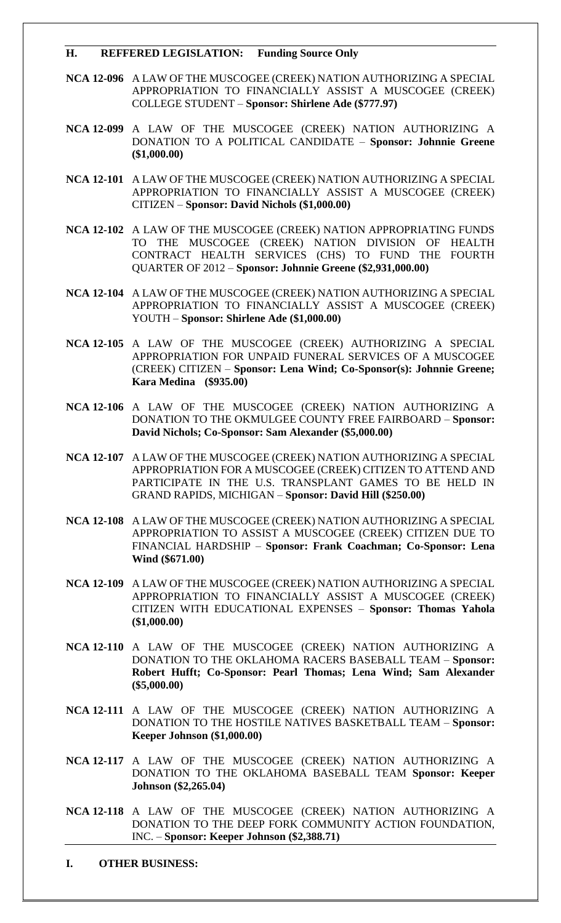#### **H. REFFERED LEGISLATION: Funding Source Only**

- **NCA 12-096** A LAW OF THE MUSCOGEE (CREEK) NATION AUTHORIZING A SPECIAL APPROPRIATION TO FINANCIALLY ASSIST A MUSCOGEE (CREEK) COLLEGE STUDENT – **Sponsor: Shirlene Ade (\$777.97)**
- **NCA 12-099** A LAW OF THE MUSCOGEE (CREEK) NATION AUTHORIZING A DONATION TO A POLITICAL CANDIDATE – **Sponsor: Johnnie Greene (\$1,000.00)**
- **NCA 12-101** A LAW OF THE MUSCOGEE (CREEK) NATION AUTHORIZING A SPECIAL APPROPRIATION TO FINANCIALLY ASSIST A MUSCOGEE (CREEK) CITIZEN – **Sponsor: David Nichols (\$1,000.00)**
- **NCA 12-102** A LAW OF THE MUSCOGEE (CREEK) NATION APPROPRIATING FUNDS TO THE MUSCOGEE (CREEK) NATION DIVISION OF HEALTH CONTRACT HEALTH SERVICES (CHS) TO FUND THE FOURTH QUARTER OF 2012 – **Sponsor: Johnnie Greene (\$2,931,000.00)**
- **NCA 12-104** A LAW OF THE MUSCOGEE (CREEK) NATION AUTHORIZING A SPECIAL APPROPRIATION TO FINANCIALLY ASSIST A MUSCOGEE (CREEK) YOUTH – **Sponsor: Shirlene Ade (\$1,000.00)**
- **NCA 12-105** A LAW OF THE MUSCOGEE (CREEK) AUTHORIZING A SPECIAL APPROPRIATION FOR UNPAID FUNERAL SERVICES OF A MUSCOGEE (CREEK) CITIZEN – **Sponsor: Lena Wind; Co-Sponsor(s): Johnnie Greene; Kara Medina (\$935.00)**
- **NCA 12-106** A LAW OF THE MUSCOGEE (CREEK) NATION AUTHORIZING A DONATION TO THE OKMULGEE COUNTY FREE FAIRBOARD – **Sponsor: David Nichols; Co-Sponsor: Sam Alexander (\$5,000.00)**
- **NCA 12-107** A LAW OF THE MUSCOGEE (CREEK) NATION AUTHORIZING A SPECIAL APPROPRIATION FOR A MUSCOGEE (CREEK) CITIZEN TO ATTEND AND PARTICIPATE IN THE U.S. TRANSPLANT GAMES TO BE HELD IN GRAND RAPIDS, MICHIGAN – **Sponsor: David Hill (\$250.00)**
- **NCA 12-108** A LAW OF THE MUSCOGEE (CREEK) NATION AUTHORIZING A SPECIAL APPROPRIATION TO ASSIST A MUSCOGEE (CREEK) CITIZEN DUE TO FINANCIAL HARDSHIP – **Sponsor: Frank Coachman; Co-Sponsor: Lena Wind (\$671.00)**
- **NCA 12-109** A LAW OF THE MUSCOGEE (CREEK) NATION AUTHORIZING A SPECIAL APPROPRIATION TO FINANCIALLY ASSIST A MUSCOGEE (CREEK) CITIZEN WITH EDUCATIONAL EXPENSES – **Sponsor: Thomas Yahola (\$1,000.00)**
- **NCA 12-110** A LAW OF THE MUSCOGEE (CREEK) NATION AUTHORIZING A DONATION TO THE OKLAHOMA RACERS BASEBALL TEAM – **Sponsor: Robert Hufft; Co-Sponsor: Pearl Thomas; Lena Wind; Sam Alexander (\$5,000.00)**
- **NCA 12-111** A LAW OF THE MUSCOGEE (CREEK) NATION AUTHORIZING A DONATION TO THE HOSTILE NATIVES BASKETBALL TEAM – **Sponsor: Keeper Johnson (\$1,000.00)**
- **NCA 12-117** A LAW OF THE MUSCOGEE (CREEK) NATION AUTHORIZING A DONATION TO THE OKLAHOMA BASEBALL TEAM **Sponsor: Keeper Johnson (\$2,265.04)**
- **NCA 12-118** A LAW OF THE MUSCOGEE (CREEK) NATION AUTHORIZING A DONATION TO THE DEEP FORK COMMUNITY ACTION FOUNDATION, INC. – **Sponsor: Keeper Johnson (\$2,388.71)**

**I. OTHER BUSINESS:**